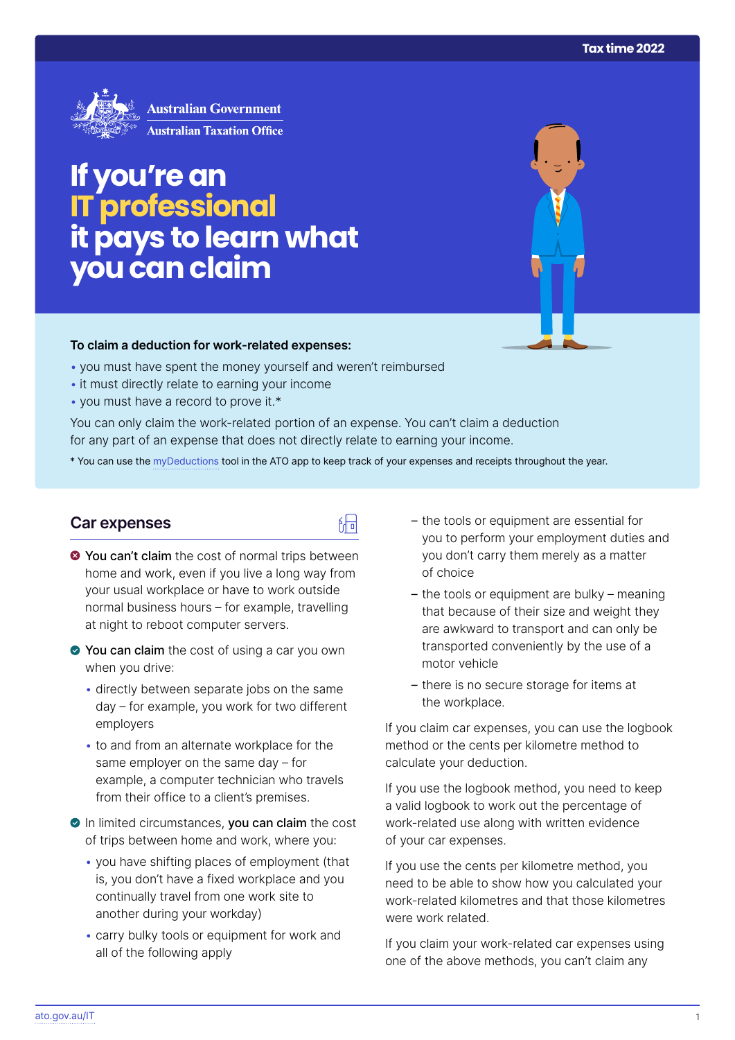

# **If you're an ITprofessional itpays to learn what you can claim**

#### **To claim a deduction for work‑related expenses:**

- you must have spent the money yourself and weren't reimbursed
- it must directly relate to earning your income
- you must have a record to prove it.\*

You can only claim the work-related portion of an expense. You can't claim a deduction for any part of an expense that does not directly relate to earning your income.

\* You can use the [myDeductions](https://ato.gov.au/mydeductions) tool in the ATO app to keep track of your expenses and receipts throughout the year.

品

## **Car expenses**

- $\bullet$  You can't claim the cost of normal trips between home and work, even if you live a long way from your usual workplace or have to work outside normal business hours – for example, travelling at night to reboot computer servers.
- ◆ You can claim the cost of using a car you own when you drive:
	- directly between separate jobs on the same day – for example, you work for two different employers
	- to and from an alternate workplace for the same employer on the same day – for example, a computer technician who travels from their office to a client's premises.
- In limited circumstances, you can claim the cost of trips between home and work, where you:
	- you have shifting places of employment (that is, you don't have a fixed workplace and you continually travel from one work site to another during your workday)
	- carry bulky tools or equipment for work and all of the following apply
- the tools or equipment are essential for you to perform your employment duties and you don't carry them merely as a matter of choice
- the tools or equipment are bulky meaning that because of their size and weight they are awkward to transport and can only be transported conveniently by the use of a motor vehicle
- there is no secure storage for items at the workplace.

If you claim car expenses, you can use the logbook method or the cents per kilometre method to calculate your deduction.

If you use the logbook method, you need to keep a valid logbook to work out the percentage of work-related use along with written evidence of your car expenses.

If you use the cents per kilometre method, you need to be able to show how you calculated your work-related kilometres and that those kilometres were work related.

If you claim your work-related car expenses using one of the above methods, you can't claim any